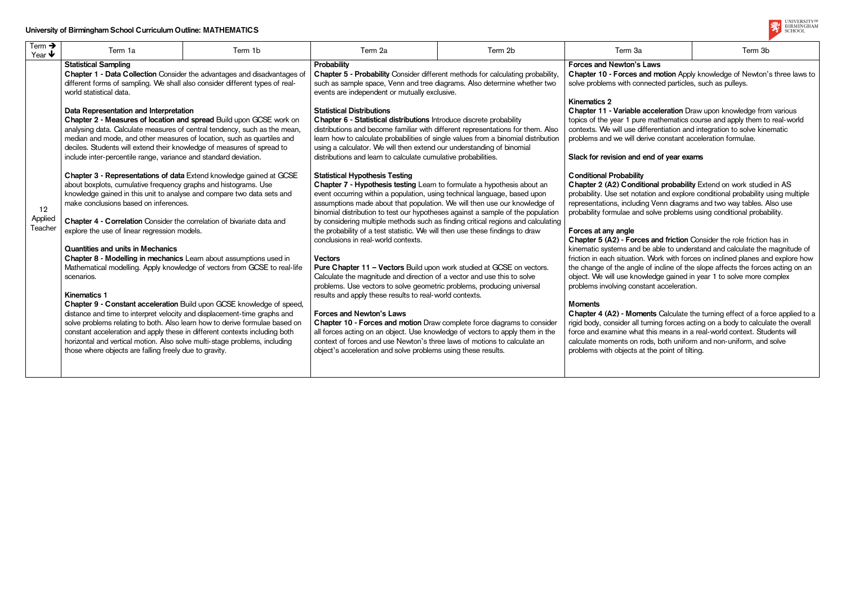| Term $\rightarrow$<br>Year $\blacklozenge$ | Term 1a                                                                                                                                                                                                                                                                                                                                                                                                                                                                                                                                                                                                                                                                                                                                                                                                                                                                                                                                                                                                                                                                                                                                                                                                                                                                                                                                                                                                                                                                                                                                                                                                                                                                                                                | Term 1b | Term 2a                                                                                                                                                                                                                                                                                                                                                                                                                                                                                                                                                                                                                                                                                                                                                                                                                                                                                                                                                                                                                                                                                                                                                                                                                                                                                                                                                                                                                                                                                                                                                                                                                                                                                                                                                                                                                                                                                        | Term 2b | Term 3a                                                                                                                                                                                                                                                                                                                                                                                                                                                                                                                                                                                                                                                                                                                                                                                                                                                                                                                                                                                                                                                                                                                                                                                                                                                                                                                                                                                                                | Term 3b                                                                                                                                                                                                                                                                                                                         |
|--------------------------------------------|------------------------------------------------------------------------------------------------------------------------------------------------------------------------------------------------------------------------------------------------------------------------------------------------------------------------------------------------------------------------------------------------------------------------------------------------------------------------------------------------------------------------------------------------------------------------------------------------------------------------------------------------------------------------------------------------------------------------------------------------------------------------------------------------------------------------------------------------------------------------------------------------------------------------------------------------------------------------------------------------------------------------------------------------------------------------------------------------------------------------------------------------------------------------------------------------------------------------------------------------------------------------------------------------------------------------------------------------------------------------------------------------------------------------------------------------------------------------------------------------------------------------------------------------------------------------------------------------------------------------------------------------------------------------------------------------------------------------|---------|------------------------------------------------------------------------------------------------------------------------------------------------------------------------------------------------------------------------------------------------------------------------------------------------------------------------------------------------------------------------------------------------------------------------------------------------------------------------------------------------------------------------------------------------------------------------------------------------------------------------------------------------------------------------------------------------------------------------------------------------------------------------------------------------------------------------------------------------------------------------------------------------------------------------------------------------------------------------------------------------------------------------------------------------------------------------------------------------------------------------------------------------------------------------------------------------------------------------------------------------------------------------------------------------------------------------------------------------------------------------------------------------------------------------------------------------------------------------------------------------------------------------------------------------------------------------------------------------------------------------------------------------------------------------------------------------------------------------------------------------------------------------------------------------------------------------------------------------------------------------------------------------|---------|------------------------------------------------------------------------------------------------------------------------------------------------------------------------------------------------------------------------------------------------------------------------------------------------------------------------------------------------------------------------------------------------------------------------------------------------------------------------------------------------------------------------------------------------------------------------------------------------------------------------------------------------------------------------------------------------------------------------------------------------------------------------------------------------------------------------------------------------------------------------------------------------------------------------------------------------------------------------------------------------------------------------------------------------------------------------------------------------------------------------------------------------------------------------------------------------------------------------------------------------------------------------------------------------------------------------------------------------------------------------------------------------------------------------|---------------------------------------------------------------------------------------------------------------------------------------------------------------------------------------------------------------------------------------------------------------------------------------------------------------------------------|
| 12<br>Applied<br>Teacher                   | <b>Statistical Sampling</b><br>Chapter 1 - Data Collection Consider the advantages and disadvantages of<br>different forms of sampling. We shall also consider different types of real-<br>world statistical data.<br>Data Representation and Interpretation<br>Chapter 2 - Measures of location and spread Build upon GCSE work on<br>analysing data. Calculate measures of central tendency, such as the mean,<br>median and mode, and other measures of location, such as quartiles and<br>deciles. Students will extend their knowledge of measures of spread to<br>include inter-percentile range, variance and standard deviation.<br>Chapter 3 - Representations of data Extend knowledge gained at GCSE<br>about boxplots, cumulative frequency graphs and histograms. Use<br>knowledge gained in this unit to analyse and compare two data sets and<br>make conclusions based on inferences.<br>Chapter 4 - Correlation Consider the correlation of bivariate data and<br>explore the use of linear regression models.<br><b>Quantities and units in Mechanics</b><br>Chapter 8 - Modelling in mechanics Learn about assumptions used in<br>Mathematical modelling. Apply knowledge of vectors from GCSE to real-life<br>scenarios.<br>Kinematics 1<br>Chapter 9 - Constant acceleration Build upon GCSE knowledge of speed,<br>distance and time to interpret velocity and displacement-time graphs and<br>solve problems relating to both. Also learn how to derive formulae based on<br>constant acceleration and apply these in different contexts including both<br>horizontal and vertical motion. Also solve multi-stage problems, including<br>those where objects are falling freely due to gravity. |         | Probability<br>Chapter 5 - Probability Consider different methods for calculating probability,<br>such as sample space, Venn and tree diagrams. Also determine whether two<br>events are independent or mutually exclusive.<br><b>Statistical Distributions</b><br>Chapter 6 - Statistical distributions Introduce discrete probability<br>distributions and become familiar with different representations for them. Also<br>learn how to calculate probabilities of single values from a binomial distribution<br>using a calculator. We will then extend our understanding of binomial<br>distributions and learn to calculate cumulative probabilities.<br><b>Statistical Hypothesis Testing</b><br>Chapter 7 - Hypothesis testing Learn to formulate a hypothesis about an<br>event occurring within a population, using technical language, based upon<br>assumptions made about that population. We will then use our knowledge of<br>binomial distribution to test our hypotheses against a sample of the population<br>by considering multiple methods such as finding critical regions and calculating<br>the probability of a test statistic. We will then use these findings to draw<br>conclusions in real-world contexts.<br><b>Vectors</b><br>Pure Chapter 11 - Vectors Build upon work studied at GCSE on vectors.<br>Calculate the magnitude and direction of a vector and use this to solve<br>problems. Use vectors to solve geometric problems, producing universal<br>results and apply these results to real-world contexts.<br><b>Forces and Newton's Laws</b><br>Chapter 10 - Forces and motion Draw complete force diagrams to consider<br>all forces acting on an object. Use knowledge of vectors to apply them in the<br>context of forces and use Newton's three laws of motions to calculate an<br>object's acceleration and solve problems using these results. |         | <b>Forces and Newton's Laws</b><br>solve problems with connected particles, such as pulleys.<br>Kinematics 2<br>Chapter 11 - Variable acceleration Draw upon knowledge from various<br>topics of the year 1 pure mathematics course and apply them to real-world<br>contexts. We will use differentiation and integration to solve kinematic<br>problems and we will derive constant acceleration formulae.<br>Slack for revision and end of year exams<br><b>Conditional Probability</b><br>Chapter 2 (A2) Conditional probability Extend on work studied in AS<br>probability. Use set notation and explore conditional probability using multiple<br>representations, including Venn diagrams and two way tables. Also use<br>probability formulae and solve problems using conditional probability.<br>Forces at any angle<br>Chapter 5 (A2) - Forces and friction Consider the role friction has in<br>kinematic systems and be able to understand and calculate the magnitude of<br>object. We will use knowledge gained in year 1 to solve more complex<br>problems involving constant acceleration.<br><b>Moments</b><br>rigid body, consider all turning forces acting on a body to calculate the overall<br>force and examine what this means in a real-world context. Students will<br>calculate moments on rods, both uniform and non-uniform, and solve<br>problems with objects at the point of tilting. | Chapter 10 - Forces and motion Apply knowledge of Newton's three laws to<br>friction in each situation. Work with forces on inclined planes and explore how<br>the change of the angle of incline of the slope affects the forces acting on an<br>Chapter 4 (A2) - Moments Calculate the turning effect of a force applied to a |

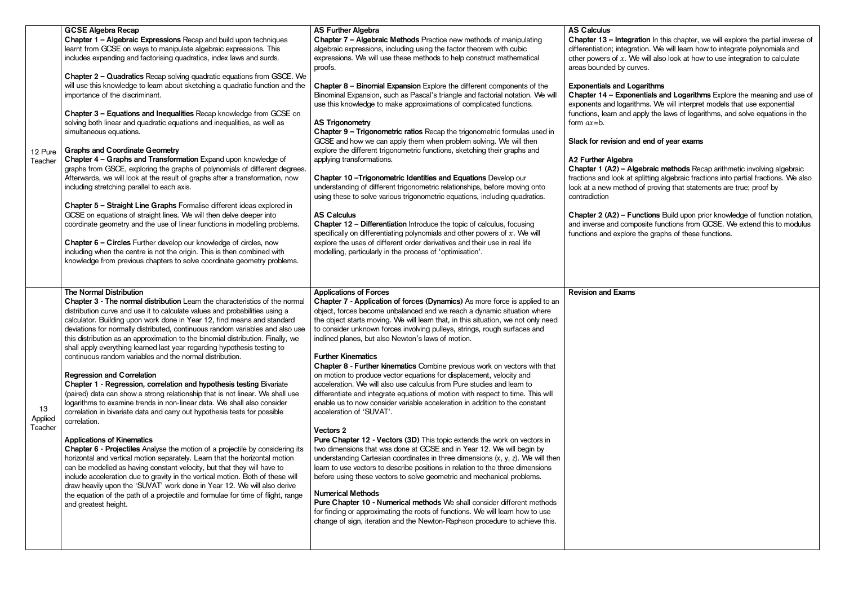ebraic methods Recap arithmetic involving algebraic fractions and look at splitting algebraic fractions into partial fractions. We also look at a new method of proving that statements are true; proof by

> nctions Build upon prior knowledge of function notation, osite functions from GCSE. We extend this to modulus the graphs of these functions.

| 12 Pure<br>Teacher       | <b>GCSE Algebra Recap</b><br>Chapter 1 - Algebraic Expressions Recap and build upon techniques<br>learnt from GCSE on ways to manipulate algebraic expressions. This<br>includes expanding and factorising quadratics, index laws and surds.<br>Chapter 2 - Quadratics Recap solving quadratic equations from GSCE. We<br>will use this knowledge to learn about sketching a quadratic function and the<br>importance of the discriminant.<br>Chapter 3 - Equations and Inequalities Recap knowledge from GCSE on<br>solving both linear and quadratic equations and inequalities, as well as<br>simultaneous equations.<br><b>Graphs and Coordinate Geometry</b><br>Chapter 4 - Graphs and Transformation Expand upon knowledge of<br>graphs from GSCE, exploring the graphs of polynomials of different degrees.<br>Afterwards, we will look at the result of graphs after a transformation, now<br>including stretching parallel to each axis.<br>Chapter 5 - Straight Line Graphs Formalise different ideas explored in<br>GCSE on equations of straight lines. We will then delve deeper into<br>coordinate geometry and the use of linear functions in modelling problems.<br>Chapter 6 - Circles Further develop our knowledge of circles, now<br>including when the centre is not the origin. This is then combined with<br>knowledge from previous chapters to solve coordinate geometry problems.                                                                                                       | <b>AS Further Algebra</b><br>Chapter 7 - Algebraic Methods Practice new methods of manipulating<br>algebraic expressions, including using the factor theorem with cubic<br>expressions. We will use these methods to help construct mathematical<br>proofs.<br>Chapter 8 - Binomial Expansion Explore the different components of the<br>Binominal Expansion, such as Pascal's triangle and factorial notation. We will<br>use this knowledge to make approximations of complicated functions.<br><b>AS Trigonometry</b><br>Chapter 9 - Trigonometric ratios Recap the trigonometric formulas used in<br>GCSE and how we can apply them when problem solving. We will then<br>explore the different trigonometric functions, sketching their graphs and<br>applying transformations.<br>Chapter 10-Trigonometric Identities and Equations Develop our<br>understanding of different trigonometric relationships, before moving onto<br>using these to solve various trigonometric equations, including quadratics.<br><b>AS Calculus</b><br>Chapter 12 - Differentiation Introduce the topic of calculus, focusing<br>specifically on differentiating polynomials and other powers of $x$ . We will<br>explore the uses of different order derivatives and their use in real life<br>modelling, particularly in the process of 'optimisation'.                                                                                                                                                                                                                    | <b>AS Calculus</b><br>Chapter 13 - Integrat<br>differentiation; integrati<br>other powers of $x$ . We<br>areas bounded by curv<br><b>Exponentials and Log</b><br>Chapter 14 - Exponer<br>exponents and logarith<br>functions, learn and ap<br>form $ax = b$ .<br>Slack for revision and<br>A2 Further Algebra<br>Chapter 1 (A2) - Alge<br>fractions and look at sp<br>look at a new method o<br>contradiction<br>Chapter 2 (A2) - Fun<br>and inverse and compo<br>functions and explore t |
|--------------------------|-------------------------------------------------------------------------------------------------------------------------------------------------------------------------------------------------------------------------------------------------------------------------------------------------------------------------------------------------------------------------------------------------------------------------------------------------------------------------------------------------------------------------------------------------------------------------------------------------------------------------------------------------------------------------------------------------------------------------------------------------------------------------------------------------------------------------------------------------------------------------------------------------------------------------------------------------------------------------------------------------------------------------------------------------------------------------------------------------------------------------------------------------------------------------------------------------------------------------------------------------------------------------------------------------------------------------------------------------------------------------------------------------------------------------------------------------------------------------------------------------------------------|-------------------------------------------------------------------------------------------------------------------------------------------------------------------------------------------------------------------------------------------------------------------------------------------------------------------------------------------------------------------------------------------------------------------------------------------------------------------------------------------------------------------------------------------------------------------------------------------------------------------------------------------------------------------------------------------------------------------------------------------------------------------------------------------------------------------------------------------------------------------------------------------------------------------------------------------------------------------------------------------------------------------------------------------------------------------------------------------------------------------------------------------------------------------------------------------------------------------------------------------------------------------------------------------------------------------------------------------------------------------------------------------------------------------------------------------------------------------------------------------------------------------------------------------------------------------|-------------------------------------------------------------------------------------------------------------------------------------------------------------------------------------------------------------------------------------------------------------------------------------------------------------------------------------------------------------------------------------------------------------------------------------------------------------------------------------------|
| 13<br>Applied<br>Teacher | <b>The Normal Distribution</b><br>Chapter 3 - The normal distribution Learn the characteristics of the normal<br>distribution curve and use it to calculate values and probabilities using a<br>calculator. Building upon work done in Year 12, find means and standard<br>deviations for normally distributed, continuous random variables and also use<br>this distribution as an approximation to the binomial distribution. Finally, we<br>shall apply everything learned last year regarding hypothesis testing to<br>continuous random variables and the normal distribution.<br><b>Regression and Correlation</b><br>Chapter 1 - Regression, correlation and hypothesis testing Bivariate<br>(paired) data can show a strong relationship that is not linear. We shall use<br>logarithms to examine trends in non-linear data. We shall also consider<br>correlation in bivariate data and carry out hypothesis tests for possible<br>correlation.<br><b>Applications of Kinematics</b><br>Chapter 6 - Projectiles Analyse the motion of a projectile by considering its<br>horizontal and vertical motion separately. Learn that the horizontal motion<br>can be modelled as having constant velocity, but that they will have to<br>include acceleration due to gravity in the vertical motion. Both of these will<br>draw heavily upon the 'SUVAT' work done in Year 12. We will also derive<br>the equation of the path of a projectile and formulae for time of flight, range<br>and greatest height. | <b>Applications of Forces</b><br>Chapter 7 - Application of forces (Dynamics) As more force is applied to an<br>object, forces become unbalanced and we reach a dynamic situation where<br>the object starts moving. We will learn that, in this situation, we not only need<br>to consider unknown forces involving pulleys, strings, rough surfaces and<br>inclined planes, but also Newton's laws of motion.<br><b>Further Kinematics</b><br>Chapter 8 - Further kinematics Combine previous work on vectors with that<br>on motion to produce vector equations for displacement, velocity and<br>acceleration. We will also use calculus from Pure studies and learn to<br>differentiate and integrate equations of motion with respect to time. This will<br>enable us to now consider variable acceleration in addition to the constant<br>acceleration of 'SUVAT'.<br>Vectors 2<br>Pure Chapter 12 - Vectors (3D) This topic extends the work on vectors in<br>two dimensions that was done at GCSE and in Year 12. We will begin by<br>understanding Cartesian coordinates in three dimensions (x, y, z). We will then<br>learn to use vectors to describe positions in relation to the three dimensions<br>before using these vectors to solve geometric and mechanical problems.<br><b>Numerical Methods</b><br>Pure Chapter 10 - Numerical methods We shall consider different methods<br>for finding or approximating the roots of functions. We will learn how to use<br>change of sign, iteration and the Newton-Raphson procedure to achieve this. | <b>Revision and Exams</b>                                                                                                                                                                                                                                                                                                                                                                                                                                                                 |
|                          |                                                                                                                                                                                                                                                                                                                                                                                                                                                                                                                                                                                                                                                                                                                                                                                                                                                                                                                                                                                                                                                                                                                                                                                                                                                                                                                                                                                                                                                                                                                   |                                                                                                                                                                                                                                                                                                                                                                                                                                                                                                                                                                                                                                                                                                                                                                                                                                                                                                                                                                                                                                                                                                                                                                                                                                                                                                                                                                                                                                                                                                                                                                   |                                                                                                                                                                                                                                                                                                                                                                                                                                                                                           |

tion In this chapter, we will explore the partial inverse of tion. We will learn how to integrate polynomials and other will also look at how to use integration to calculate ves.

# arithms

entials and Logarithms Explore the meaning and use of nms. We will interpret models that use exponential pply the laws of logarithms, and solve equations in the

## end of year exams